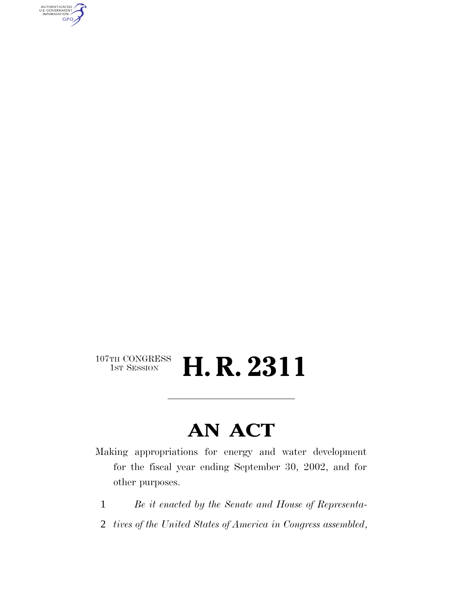AUTHENTICATED<br>U.S. GOVERNMENT<br>INFORMATION GPO

### 107TH CONGRESS<br>1st Session H. R. 2311

# **AN ACT**

Making appropriations for energy and water development for the fiscal year ending September 30, 2002, and for other purposes.

- 1 *Be it enacted by the Senate and House of Representa-*
- 2 *tives of the United States of America in Congress assembled*,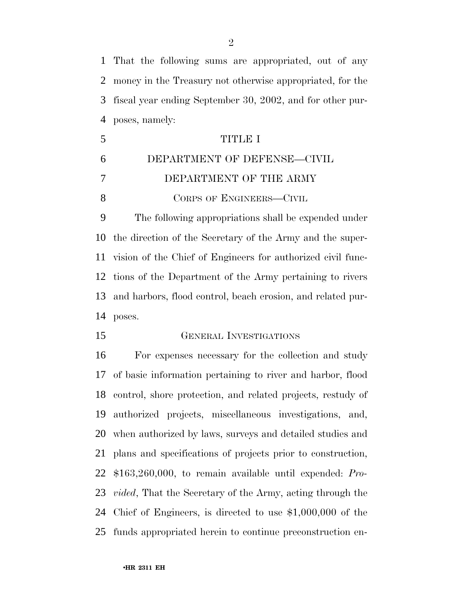That the following sums are appropriated, out of any money in the Treasury not otherwise appropriated, for the fiscal year ending September 30, 2002, and for other pur-poses, namely:

|    | TITLE I                     |
|----|-----------------------------|
| -6 | DEPARTMENT OF DEFENSE-CIVIL |
|    | DEPARTMENT OF THE ARMY      |
|    | CORPS OF ENGINEERS—CIVIL    |

 The following appropriations shall be expended under the direction of the Secretary of the Army and the super- vision of the Chief of Engineers for authorized civil func- tions of the Department of the Army pertaining to rivers and harbors, flood control, beach erosion, and related pur-poses.

GENERAL INVESTIGATIONS

 For expenses necessary for the collection and study of basic information pertaining to river and harbor, flood control, shore protection, and related projects, restudy of authorized projects, miscellaneous investigations, and, when authorized by laws, surveys and detailed studies and plans and specifications of projects prior to construction, \$163,260,000, to remain available until expended: *Pro- vided*, That the Secretary of the Army, acting through the Chief of Engineers, is directed to use \$1,000,000 of the funds appropriated herein to continue preconstruction en-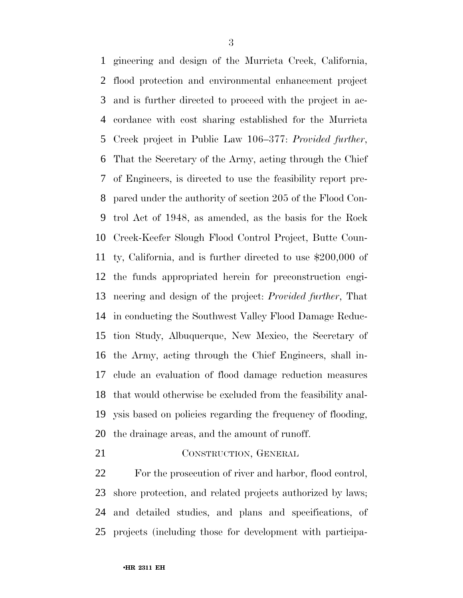gineering and design of the Murrieta Creek, California, flood protection and environmental enhancement project and is further directed to proceed with the project in ac- cordance with cost sharing established for the Murrieta Creek project in Public Law 106–377: *Provided further*, That the Secretary of the Army, acting through the Chief of Engineers, is directed to use the feasibility report pre- pared under the authority of section 205 of the Flood Con- trol Act of 1948, as amended, as the basis for the Rock Creek-Keefer Slough Flood Control Project, Butte Coun- ty, California, and is further directed to use \$200,000 of the funds appropriated herein for preconstruction engi- neering and design of the project: *Provided further*, That in conducting the Southwest Valley Flood Damage Reduc- tion Study, Albuquerque, New Mexico, the Secretary of the Army, acting through the Chief Engineers, shall in- clude an evaluation of flood damage reduction measures that would otherwise be excluded from the feasibility anal- ysis based on policies regarding the frequency of flooding, the drainage areas, and the amount of runoff.

21 CONSTRUCTION, GENERAL

 For the prosecution of river and harbor, flood control, shore protection, and related projects authorized by laws; and detailed studies, and plans and specifications, of projects (including those for development with participa-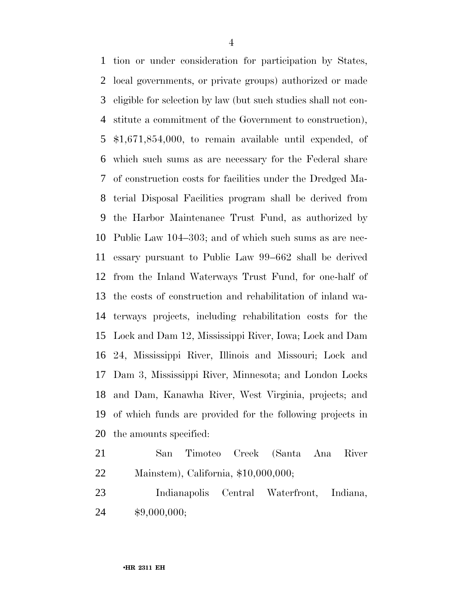tion or under consideration for participation by States, local governments, or private groups) authorized or made eligible for selection by law (but such studies shall not con- stitute a commitment of the Government to construction), \$1,671,854,000, to remain available until expended, of which such sums as are necessary for the Federal share of construction costs for facilities under the Dredged Ma- terial Disposal Facilities program shall be derived from the Harbor Maintenance Trust Fund, as authorized by Public Law 104–303; and of which such sums as are nec- essary pursuant to Public Law 99–662 shall be derived from the Inland Waterways Trust Fund, for one-half of the costs of construction and rehabilitation of inland wa- terways projects, including rehabilitation costs for the Lock and Dam 12, Mississippi River, Iowa; Lock and Dam 24, Mississippi River, Illinois and Missouri; Lock and Dam 3, Mississippi River, Minnesota; and London Locks and Dam, Kanawha River, West Virginia, projects; and of which funds are provided for the following projects in the amounts specified:

- San Timoteo Creek (Santa Ana River Mainstem), California, \$10,000,000;
- Indianapolis Central Waterfront, Indiana, \$9,000,000;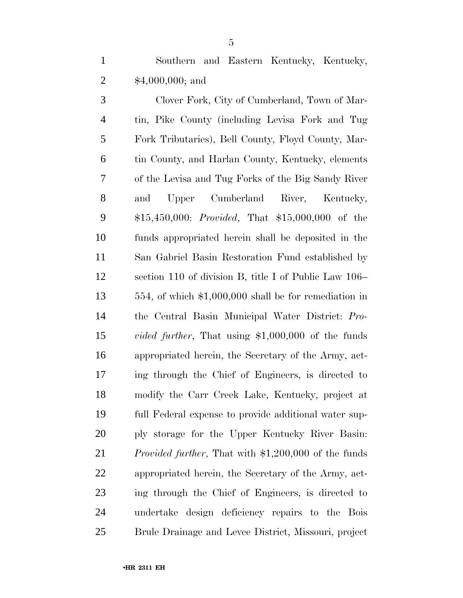Southern and Eastern Kentucky, Kentucky, \$4,000,000; and

 Clover Fork, City of Cumberland, Town of Mar- tin, Pike County (including Levisa Fork and Tug Fork Tributaries), Bell County, Floyd County, Mar- tin County, and Harlan County, Kentucky, elements of the Levisa and Tug Forks of the Big Sandy River and Upper Cumberland River, Kentucky, \$15,450,000: *Provided*, That \$15,000,000 of the funds appropriated herein shall be deposited in the San Gabriel Basin Restoration Fund established by section 110 of division B, title I of Public Law 106– 554, of which \$1,000,000 shall be for remediation in the Central Basin Municipal Water District: *Pro- vided further*, That using \$1,000,000 of the funds appropriated herein, the Secretary of the Army, act- ing through the Chief of Engineers, is directed to modify the Carr Creek Lake, Kentucky, project at full Federal expense to provide additional water sup- ply storage for the Upper Kentucky River Basin: *Provided further*, That with \$1,200,000 of the funds appropriated herein, the Secretary of the Army, act- ing through the Chief of Engineers, is directed to undertake design deficiency repairs to the Bois Brule Drainage and Levee District, Missouri, project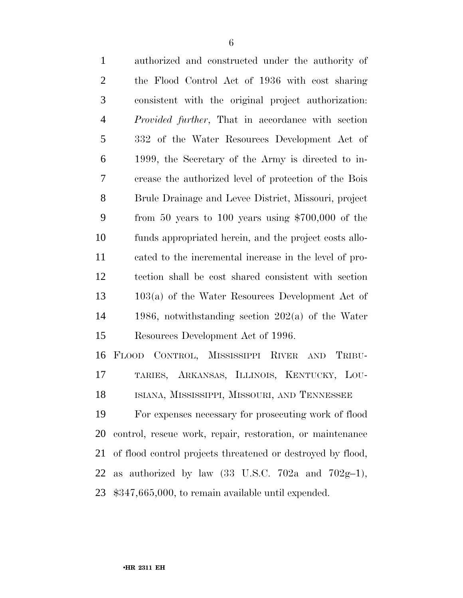| $\mathbf{1}$   | authorized and constructed under the authority of                                     |
|----------------|---------------------------------------------------------------------------------------|
| $\overline{2}$ | the Flood Control Act of 1936 with cost sharing                                       |
| 3              | consistent with the original project authorization:                                   |
| $\overline{4}$ | <i>Provided further</i> , That in accordance with section                             |
| 5              | 332 of the Water Resources Development Act of                                         |
| 6              | 1999, the Secretary of the Army is directed to in-                                    |
| 7              | crease the authorized level of protection of the Bois                                 |
| 8              | Brule Drainage and Levee District, Missouri, project                                  |
| 9              | from 50 years to 100 years using $$700,000$ of the                                    |
| 10             | funds appropriated herein, and the project costs allo-                                |
| 11             | cated to the incremental increase in the level of pro-                                |
| 12             | tection shall be cost shared consistent with section                                  |
| 13             | $103(a)$ of the Water Resources Development Act of                                    |
| 14             | 1986, notwithstanding section $202(a)$ of the Water                                   |
| 15             | Resources Development Act of 1996.                                                    |
| 16             | FLOOD CONTROL, MISSISSIPPI RIVER AND<br>TRIBU-                                        |
| 17             | TARIES, ARKANSAS, ILLINOIS, KENTUCKY, LOU-                                            |
| 18             | ISIANA, MISSISSIPPI, MISSOURI, AND TENNESSEE                                          |
| 19             | For expenses necessary for prosecuting work of flood                                  |
| 20             | control, rescue work, repair, restoration, or maintenance                             |
| 21             | of flood control projects threatened or destroyed by flood,                           |
| 22             | authorized by law $(33 \text{ U.S.C. } 702a \text{ and } 702g-1)$ ,<br>a <sub>S</sub> |

\$347,665,000, to remain available until expended.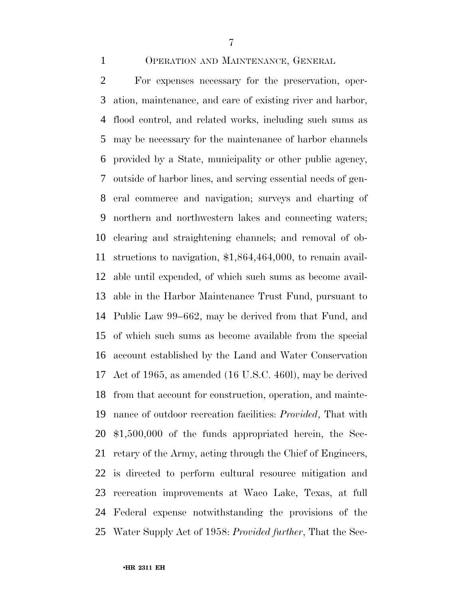#### OPERATION AND MAINTENANCE, GENERAL

 For expenses necessary for the preservation, oper- ation, maintenance, and care of existing river and harbor, flood control, and related works, including such sums as may be necessary for the maintenance of harbor channels provided by a State, municipality or other public agency, outside of harbor lines, and serving essential needs of gen- eral commerce and navigation; surveys and charting of northern and northwestern lakes and connecting waters; clearing and straightening channels; and removal of ob- structions to navigation, \$1,864,464,000, to remain avail- able until expended, of which such sums as become avail- able in the Harbor Maintenance Trust Fund, pursuant to Public Law 99–662, may be derived from that Fund, and of which such sums as become available from the special account established by the Land and Water Conservation Act of 1965, as amended (16 U.S.C. 460l), may be derived from that account for construction, operation, and mainte- nance of outdoor recreation facilities: *Provided*, That with \$1,500,000 of the funds appropriated herein, the Sec- retary of the Army, acting through the Chief of Engineers, is directed to perform cultural resource mitigation and recreation improvements at Waco Lake, Texas, at full Federal expense notwithstanding the provisions of the Water Supply Act of 1958: *Provided further*, That the Sec-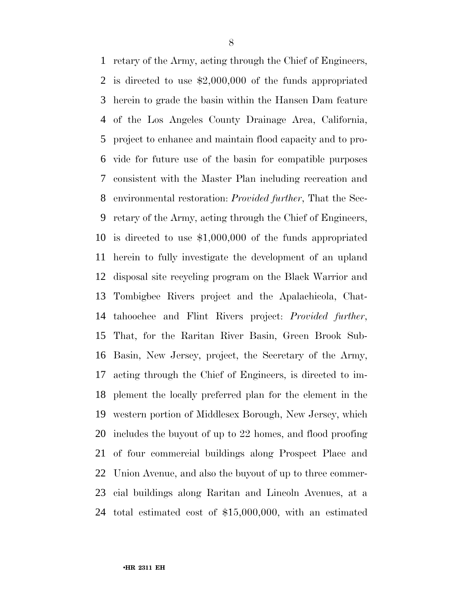retary of the Army, acting through the Chief of Engineers, is directed to use \$2,000,000 of the funds appropriated herein to grade the basin within the Hansen Dam feature of the Los Angeles County Drainage Area, California, project to enhance and maintain flood capacity and to pro- vide for future use of the basin for compatible purposes consistent with the Master Plan including recreation and environmental restoration: *Provided further*, That the Sec- retary of the Army, acting through the Chief of Engineers, is directed to use \$1,000,000 of the funds appropriated herein to fully investigate the development of an upland disposal site recycling program on the Black Warrior and Tombigbee Rivers project and the Apalachicola, Chat- tahoochee and Flint Rivers project: *Provided further*, That, for the Raritan River Basin, Green Brook Sub- Basin, New Jersey, project, the Secretary of the Army, acting through the Chief of Engineers, is directed to im- plement the locally preferred plan for the element in the western portion of Middlesex Borough, New Jersey, which includes the buyout of up to 22 homes, and flood proofing of four commercial buildings along Prospect Place and Union Avenue, and also the buyout of up to three commer- cial buildings along Raritan and Lincoln Avenues, at a total estimated cost of \$15,000,000, with an estimated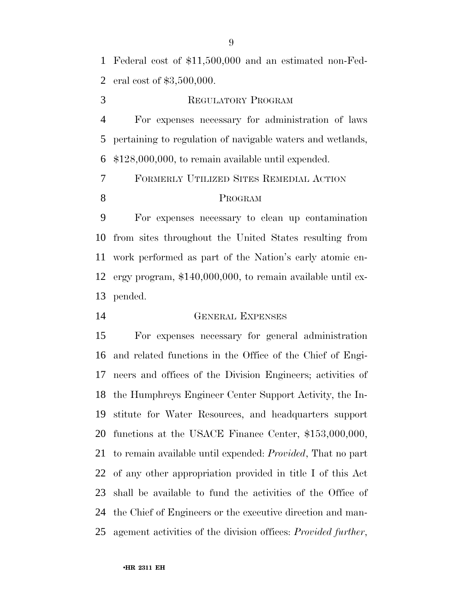Federal cost of \$11,500,000 and an estimated non-Fed-eral cost of \$3,500,000.

REGULATORY PROGRAM

 For expenses necessary for administration of laws pertaining to regulation of navigable waters and wetlands, \$128,000,000, to remain available until expended.

FORMERLY UTILIZED SITES REMEDIAL ACTION

#### PROGRAM

 For expenses necessary to clean up contamination from sites throughout the United States resulting from work performed as part of the Nation's early atomic en- ergy program, \$140,000,000, to remain available until ex-pended.

GENERAL EXPENSES

 For expenses necessary for general administration and related functions in the Office of the Chief of Engi- neers and offices of the Division Engineers; activities of the Humphreys Engineer Center Support Activity, the In- stitute for Water Resources, and headquarters support functions at the USACE Finance Center, \$153,000,000, to remain available until expended: *Provided*, That no part of any other appropriation provided in title I of this Act shall be available to fund the activities of the Office of the Chief of Engineers or the executive direction and man-agement activities of the division offices: *Provided further*,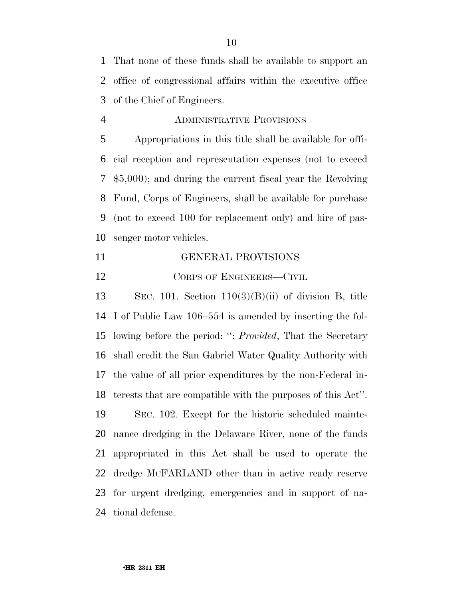That none of these funds shall be available to support an office of congressional affairs within the executive office of the Chief of Engineers.

ADMINISTRATIVE PROVISIONS

 Appropriations in this title shall be available for offi- cial reception and representation expenses (not to exceed \$5,000); and during the current fiscal year the Revolving Fund, Corps of Engineers, shall be available for purchase (not to exceed 100 for replacement only) and hire of pas-senger motor vehicles.

GENERAL PROVISIONS

12 CORPS OF ENGINEERS—CIVIL

 SEC. 101. Section 110(3)(B)(ii) of division B, title I of Public Law 106–554 is amended by inserting the fol- lowing before the period: '': *Provided*, That the Secretary shall credit the San Gabriel Water Quality Authority with the value of all prior expenditures by the non-Federal in-terests that are compatible with the purposes of this Act''.

 SEC. 102. Except for the historic scheduled mainte- nance dredging in the Delaware River, none of the funds appropriated in this Act shall be used to operate the dredge MCFARLAND other than in active ready reserve for urgent dredging, emergencies and in support of na-tional defense.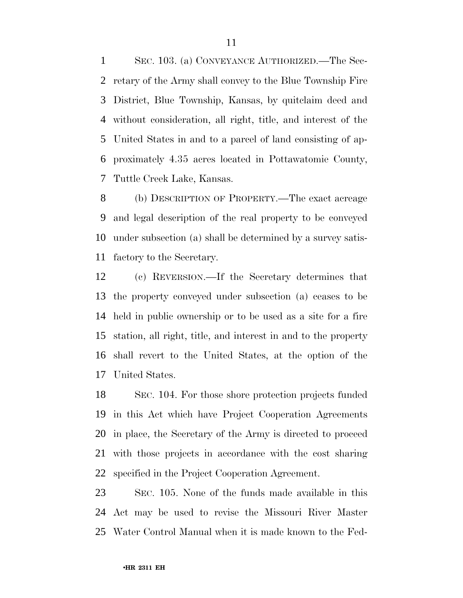SEC. 103. (a) CONVEYANCE AUTHORIZED.—The Sec- retary of the Army shall convey to the Blue Township Fire District, Blue Township, Kansas, by quitclaim deed and without consideration, all right, title, and interest of the United States in and to a parcel of land consisting of ap- proximately 4.35 acres located in Pottawatomie County, Tuttle Creek Lake, Kansas.

 (b) DESCRIPTION OF PROPERTY.—The exact acreage and legal description of the real property to be conveyed under subsection (a) shall be determined by a survey satis-factory to the Secretary.

 (c) REVERSION.—If the Secretary determines that the property conveyed under subsection (a) ceases to be held in public ownership or to be used as a site for a fire station, all right, title, and interest in and to the property shall revert to the United States, at the option of the United States.

 SEC. 104. For those shore protection projects funded in this Act which have Project Cooperation Agreements in place, the Secretary of the Army is directed to proceed with those projects in accordance with the cost sharing specified in the Project Cooperation Agreement.

 SEC. 105. None of the funds made available in this Act may be used to revise the Missouri River Master Water Control Manual when it is made known to the Fed-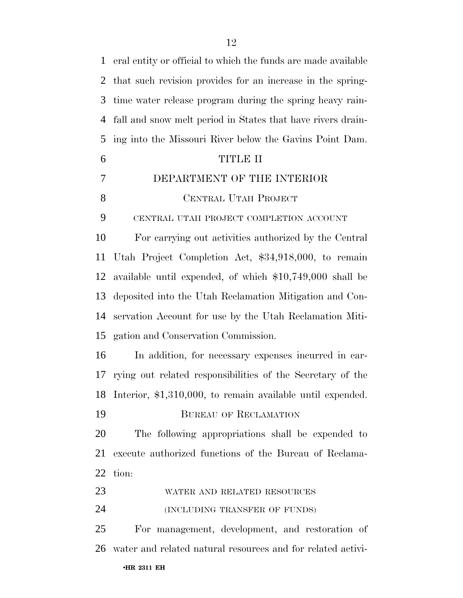eral entity or official to which the funds are made available that such revision provides for an increase in the spring- time water release program during the spring heavy rain- fall and snow melt period in States that have rivers drain- ing into the Missouri River below the Gavins Point Dam. TITLE II DEPARTMENT OF THE INTERIOR 8 CENTRAL UTAH PROJECT CENTRAL UTAH PROJECT COMPLETION ACCOUNT For carrying out activities authorized by the Central Utah Project Completion Act, \$34,918,000, to remain available until expended, of which \$10,749,000 shall be deposited into the Utah Reclamation Mitigation and Con- servation Account for use by the Utah Reclamation Miti- gation and Conservation Commission. In addition, for necessary expenses incurred in car- rying out related responsibilities of the Secretary of the Interior, \$1,310,000, to remain available until expended. BUREAU OF RECLAMATION The following appropriations shall be expended to execute authorized functions of the Bureau of Reclama- tion: WATER AND RELATED RESOURCES (INCLUDING TRANSFER OF FUNDS) For management, development, and restoration of water and related natural resources and for related activi-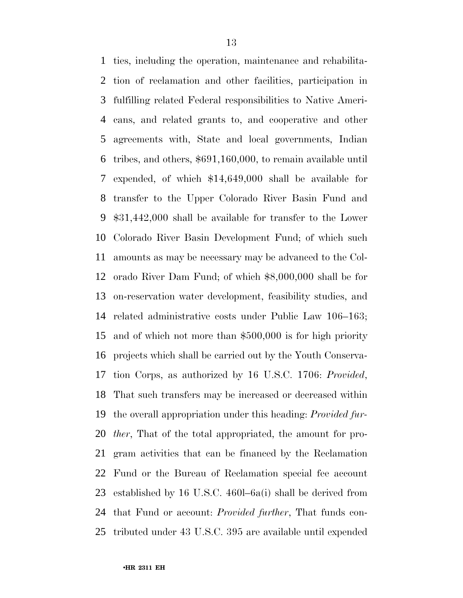ties, including the operation, maintenance and rehabilita- tion of reclamation and other facilities, participation in fulfilling related Federal responsibilities to Native Ameri- cans, and related grants to, and cooperative and other agreements with, State and local governments, Indian tribes, and others, \$691,160,000, to remain available until expended, of which \$14,649,000 shall be available for transfer to the Upper Colorado River Basin Fund and \$31,442,000 shall be available for transfer to the Lower Colorado River Basin Development Fund; of which such amounts as may be necessary may be advanced to the Col- orado River Dam Fund; of which \$8,000,000 shall be for on-reservation water development, feasibility studies, and related administrative costs under Public Law 106–163; and of which not more than \$500,000 is for high priority projects which shall be carried out by the Youth Conserva- tion Corps, as authorized by 16 U.S.C. 1706: *Provided*, That such transfers may be increased or decreased within the overall appropriation under this heading: *Provided fur- ther*, That of the total appropriated, the amount for pro- gram activities that can be financed by the Reclamation Fund or the Bureau of Reclamation special fee account established by 16 U.S.C. 460l–6a(i) shall be derived from that Fund or account: *Provided further*, That funds con-tributed under 43 U.S.C. 395 are available until expended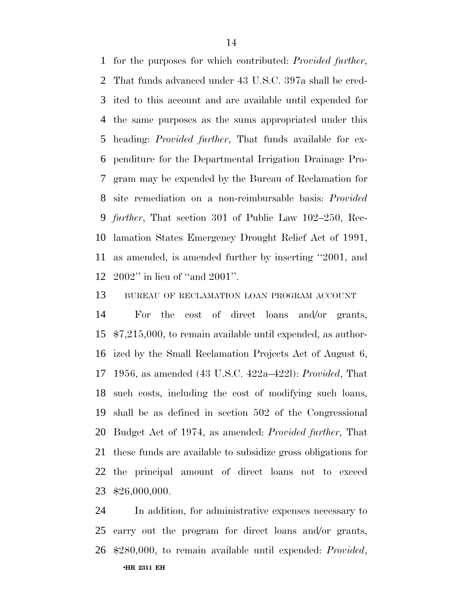for the purposes for which contributed: *Provided further*, That funds advanced under 43 U.S.C. 397a shall be cred- ited to this account and are available until expended for the same purposes as the sums appropriated under this heading: *Provided further*, That funds available for ex- penditure for the Departmental Irrigation Drainage Pro- gram may be expended by the Bureau of Reclamation for site remediation on a non-reimbursable basis: *Provided further*, That section 301 of Public Law 102–250, Rec- lamation States Emergency Drought Relief Act of 1991, as amended, is amended further by inserting ''2001, and 2002'' in lieu of ''and 2001''.

BUREAU OF RECLAMATION LOAN PROGRAM ACCOUNT

 For the cost of direct loans and/or grants, \$7,215,000, to remain available until expended, as author- ized by the Small Reclamation Projects Act of August 6, 1956, as amended (43 U.S.C. 422a–422l): *Provided*, That such costs, including the cost of modifying such loans, shall be as defined in section 502 of the Congressional Budget Act of 1974, as amended: *Provided further*, That these funds are available to subsidize gross obligations for the principal amount of direct loans not to exceed \$26,000,000.

•**HR 2311 EH** In addition, for administrative expenses necessary to carry out the program for direct loans and/or grants, \$280,000, to remain available until expended: *Provided*,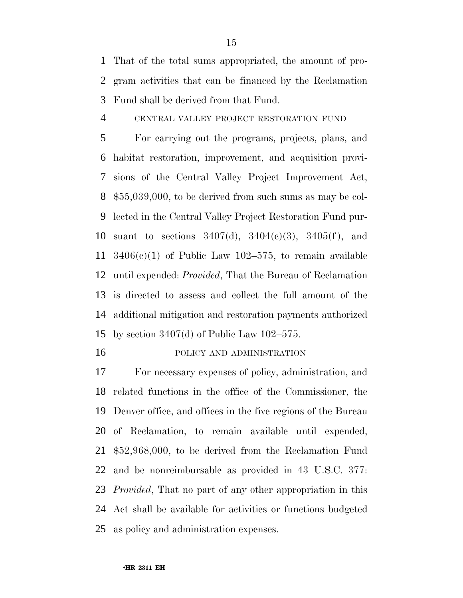That of the total sums appropriated, the amount of pro- gram activities that can be financed by the Reclamation Fund shall be derived from that Fund.

CENTRAL VALLEY PROJECT RESTORATION FUND

 For carrying out the programs, projects, plans, and habitat restoration, improvement, and acquisition provi- sions of the Central Valley Project Improvement Act, \$55,039,000, to be derived from such sums as may be col- lected in the Central Valley Project Restoration Fund pur- suant to sections 3407(d), 3404(c)(3), 3405(f ), and  $3406(c)(1)$  of Public Law 102–575, to remain available until expended: *Provided*, That the Bureau of Reclamation is directed to assess and collect the full amount of the additional mitigation and restoration payments authorized by section 3407(d) of Public Law 102–575.

POLICY AND ADMINISTRATION

 For necessary expenses of policy, administration, and related functions in the office of the Commissioner, the Denver office, and offices in the five regions of the Bureau of Reclamation, to remain available until expended, \$52,968,000, to be derived from the Reclamation Fund and be nonreimbursable as provided in 43 U.S.C. 377: *Provided*, That no part of any other appropriation in this Act shall be available for activities or functions budgeted as policy and administration expenses.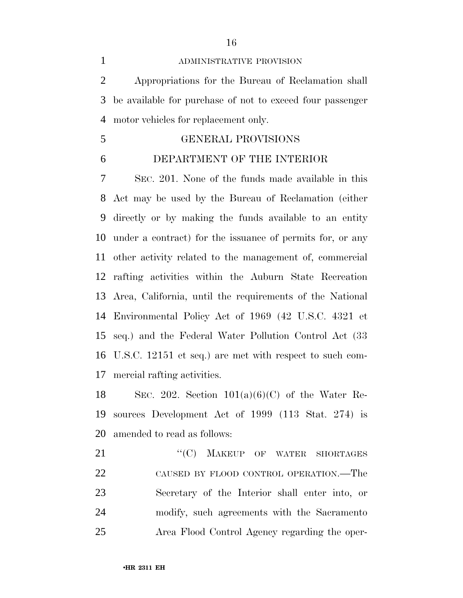Appropriations for the Bureau of Reclamation shall be available for purchase of not to exceed four passenger motor vehicles for replacement only.

GENERAL PROVISIONS

#### DEPARTMENT OF THE INTERIOR

 SEC. 201. None of the funds made available in this Act may be used by the Bureau of Reclamation (either directly or by making the funds available to an entity under a contract) for the issuance of permits for, or any other activity related to the management of, commercial rafting activities within the Auburn State Recreation Area, California, until the requirements of the National Environmental Policy Act of 1969 (42 U.S.C. 4321 et seq.) and the Federal Water Pollution Control Act (33 U.S.C. 12151 et seq.) are met with respect to such com-mercial rafting activities.

18 SEC. 202. Section  $101(a)(6)(C)$  of the Water Re- sources Development Act of 1999 (113 Stat. 274) is amended to read as follows:

21 "(C) MAKEUP OF WATER SHORTAGES CAUSED BY FLOOD CONTROL OPERATION.—The Secretary of the Interior shall enter into, or modify, such agreements with the Sacramento Area Flood Control Agency regarding the oper-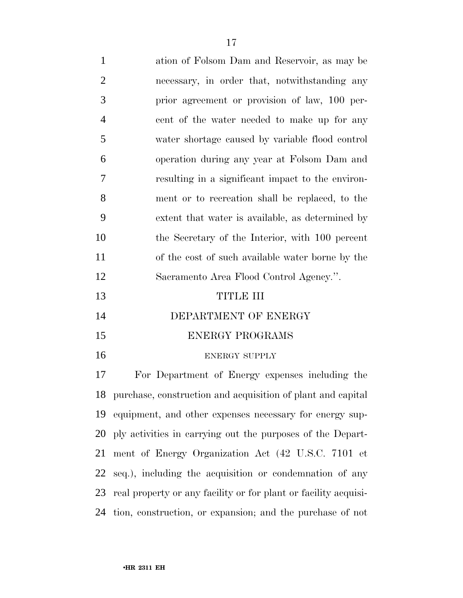| $\mathbf{1}$   | ation of Folsom Dam and Reservoir, as may be      |
|----------------|---------------------------------------------------|
| $\overline{2}$ | necessary, in order that, notwithstanding any     |
| 3              | prior agreement or provision of law, 100 per-     |
| $\overline{4}$ | cent of the water needed to make up for any       |
| 5              | water shortage caused by variable flood control   |
| 6              | operation during any year at Folsom Dam and       |
| 7              | resulting in a significant impact to the environ- |
| 8              | ment or to recreation shall be replaced, to the   |
| 9              | extent that water is available, as determined by  |
| 10             | the Secretary of the Interior, with 100 percent   |
| 11             | of the cost of such available water borne by the  |
| 12             | Sacramento Area Flood Control Agency.".           |
| 13             | TITLE III                                         |
| 14             | DEPARTMENT OF ENERGY                              |
|                |                                                   |

- ENERGY PROGRAMS
- 

#### 16 ENERGY SUPPLY

 For Department of Energy expenses including the purchase, construction and acquisition of plant and capital equipment, and other expenses necessary for energy sup- ply activities in carrying out the purposes of the Depart- ment of Energy Organization Act (42 U.S.C. 7101 et seq.), including the acquisition or condemnation of any real property or any facility or for plant or facility acquisi-tion, construction, or expansion; and the purchase of not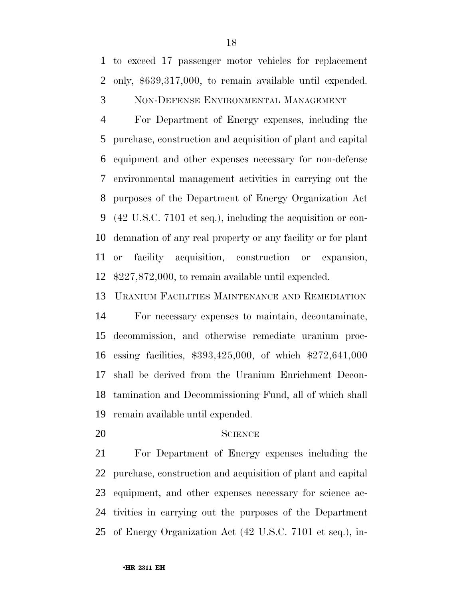to exceed 17 passenger motor vehicles for replacement only, \$639,317,000, to remain available until expended.

NON-DEFENSE ENVIRONMENTAL MANAGEMENT

 For Department of Energy expenses, including the purchase, construction and acquisition of plant and capital equipment and other expenses necessary for non-defense environmental management activities in carrying out the purposes of the Department of Energy Organization Act (42 U.S.C. 7101 et seq.), including the acquisition or con- demnation of any real property or any facility or for plant or facility acquisition, construction or expansion, \$227,872,000, to remain available until expended.

URANIUM FACILITIES MAINTENANCE AND REMEDIATION

 For necessary expenses to maintain, decontaminate, decommission, and otherwise remediate uranium proc- essing facilities, \$393,425,000, of which \$272,641,000 shall be derived from the Uranium Enrichment Decon- tamination and Decommissioning Fund, all of which shall remain available until expended.

#### SCIENCE

 For Department of Energy expenses including the purchase, construction and acquisition of plant and capital equipment, and other expenses necessary for science ac- tivities in carrying out the purposes of the Department of Energy Organization Act (42 U.S.C. 7101 et seq.), in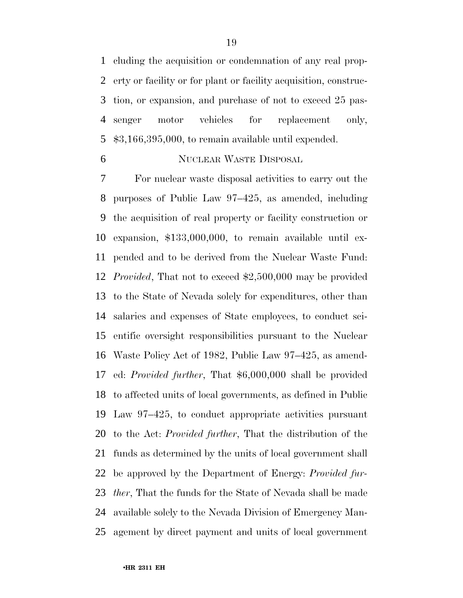cluding the acquisition or condemnation of any real prop- erty or facility or for plant or facility acquisition, construc- tion, or expansion, and purchase of not to exceed 25 pas- senger motor vehicles for replacement only, \$3,166,395,000, to remain available until expended.

#### NUCLEAR WASTE DISPOSAL

 For nuclear waste disposal activities to carry out the purposes of Public Law 97–425, as amended, including the acquisition of real property or facility construction or expansion, \$133,000,000, to remain available until ex- pended and to be derived from the Nuclear Waste Fund: *Provided*, That not to exceed \$2,500,000 may be provided to the State of Nevada solely for expenditures, other than salaries and expenses of State employees, to conduct sci- entific oversight responsibilities pursuant to the Nuclear Waste Policy Act of 1982, Public Law 97–425, as amend- ed: *Provided further*, That \$6,000,000 shall be provided to affected units of local governments, as defined in Public Law 97–425, to conduct appropriate activities pursuant to the Act: *Provided further*, That the distribution of the funds as determined by the units of local government shall be approved by the Department of Energy: *Provided fur- ther*, That the funds for the State of Nevada shall be made available solely to the Nevada Division of Emergency Man-agement by direct payment and units of local government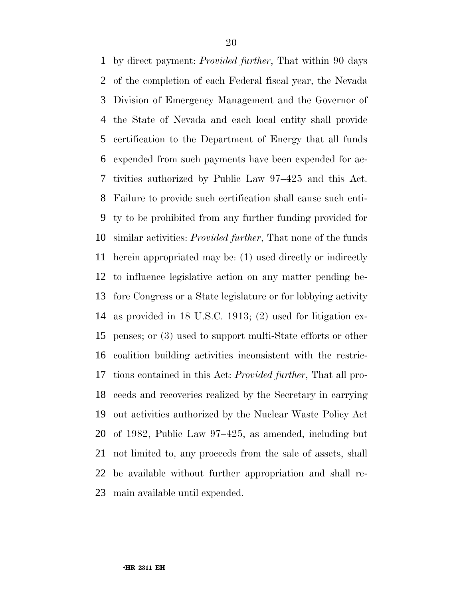by direct payment: *Provided further*, That within 90 days of the completion of each Federal fiscal year, the Nevada Division of Emergency Management and the Governor of the State of Nevada and each local entity shall provide certification to the Department of Energy that all funds expended from such payments have been expended for ac- tivities authorized by Public Law 97–425 and this Act. Failure to provide such certification shall cause such enti- ty to be prohibited from any further funding provided for similar activities: *Provided further*, That none of the funds herein appropriated may be: (1) used directly or indirectly to influence legislative action on any matter pending be- fore Congress or a State legislature or for lobbying activity as provided in 18 U.S.C. 1913; (2) used for litigation ex- penses; or (3) used to support multi-State efforts or other coalition building activities inconsistent with the restric- tions contained in this Act: *Provided further*, That all pro- ceeds and recoveries realized by the Secretary in carrying out activities authorized by the Nuclear Waste Policy Act of 1982, Public Law 97–425, as amended, including but not limited to, any proceeds from the sale of assets, shall be available without further appropriation and shall re-main available until expended.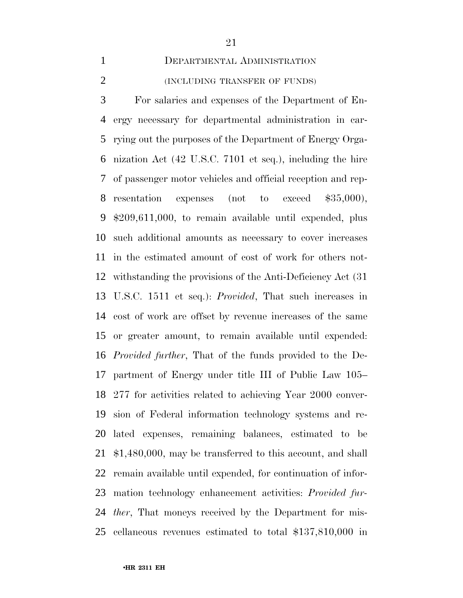#### DEPARTMENTAL ADMINISTRATION

#### (INCLUDING TRANSFER OF FUNDS)

 For salaries and expenses of the Department of En- ergy necessary for departmental administration in car- rying out the purposes of the Department of Energy Orga- nization Act (42 U.S.C. 7101 et seq.), including the hire of passenger motor vehicles and official reception and rep- resentation expenses (not to exceed \$35,000), \$209,611,000, to remain available until expended, plus such additional amounts as necessary to cover increases in the estimated amount of cost of work for others not- withstanding the provisions of the Anti-Deficiency Act (31 U.S.C. 1511 et seq.): *Provided*, That such increases in cost of work are offset by revenue increases of the same or greater amount, to remain available until expended: *Provided further*, That of the funds provided to the De- partment of Energy under title III of Public Law 105– 277 for activities related to achieving Year 2000 conver- sion of Federal information technology systems and re- lated expenses, remaining balances, estimated to be \$1,480,000, may be transferred to this account, and shall remain available until expended, for continuation of infor- mation technology enhancement activities: *Provided fur- ther*, That moneys received by the Department for mis-cellaneous revenues estimated to total \$137,810,000 in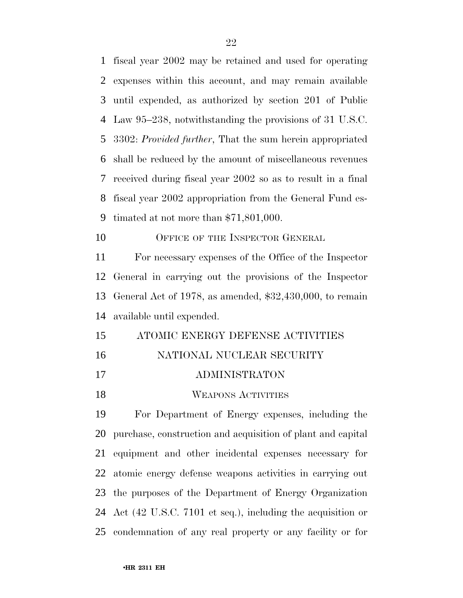fiscal year 2002 may be retained and used for operating expenses within this account, and may remain available until expended, as authorized by section 201 of Public Law 95–238, notwithstanding the provisions of 31 U.S.C. 3302: *Provided further*, That the sum herein appropriated shall be reduced by the amount of miscellaneous revenues received during fiscal year 2002 so as to result in a final fiscal year 2002 appropriation from the General Fund es- timated at not more than \$71,801,000. 10 OFFICE OF THE INSPECTOR GENERAL For necessary expenses of the Office of the Inspector General in carrying out the provisions of the Inspector General Act of 1978, as amended, \$32,430,000, to remain available until expended. ATOMIC ENERGY DEFENSE ACTIVITIES

- NATIONAL NUCLEAR SECURITY
- ADMINISTRATON
- 18 WEAPONS ACTIVITIES

 For Department of Energy expenses, including the purchase, construction and acquisition of plant and capital equipment and other incidental expenses necessary for atomic energy defense weapons activities in carrying out the purposes of the Department of Energy Organization Act (42 U.S.C. 7101 et seq.), including the acquisition or condemnation of any real property or any facility or for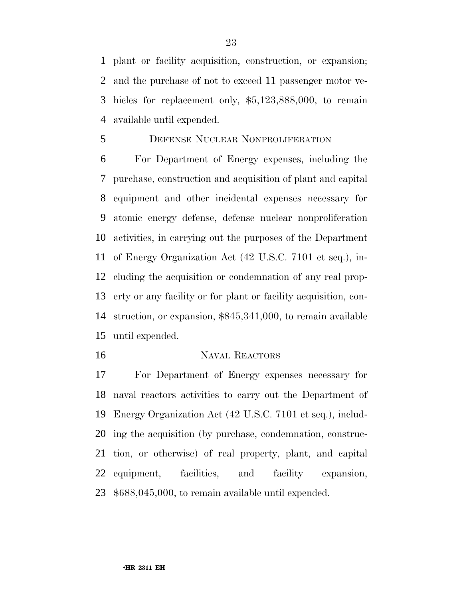plant or facility acquisition, construction, or expansion; and the purchase of not to exceed 11 passenger motor ve- hicles for replacement only, \$5,123,888,000, to remain available until expended.

#### DEFENSE NUCLEAR NONPROLIFERATION

 For Department of Energy expenses, including the purchase, construction and acquisition of plant and capital equipment and other incidental expenses necessary for atomic energy defense, defense nuclear nonproliferation activities, in carrying out the purposes of the Department of Energy Organization Act (42 U.S.C. 7101 et seq.), in- cluding the acquisition or condemnation of any real prop- erty or any facility or for plant or facility acquisition, con- struction, or expansion, \$845,341,000, to remain available until expended.

#### NAVAL REACTORS

 For Department of Energy expenses necessary for naval reactors activities to carry out the Department of Energy Organization Act (42 U.S.C. 7101 et seq.), includ- ing the acquisition (by purchase, condemnation, construc- tion, or otherwise) of real property, plant, and capital equipment, facilities, and facility expansion, \$688,045,000, to remain available until expended.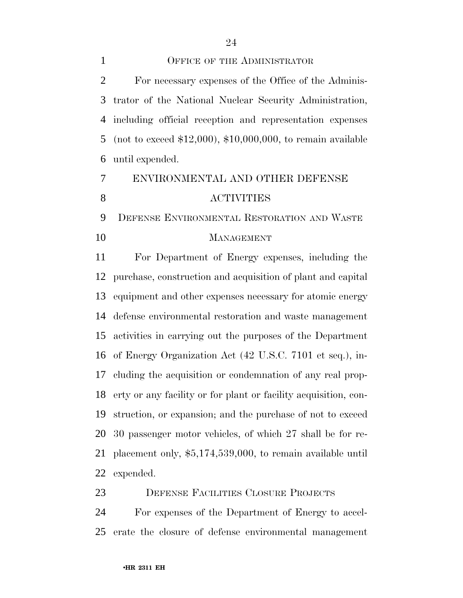For necessary expenses of the Office of the Adminis- trator of the National Nuclear Security Administration, including official reception and representation expenses (not to exceed \$12,000), \$10,000,000, to remain available until expended.

# ENVIRONMENTAL AND OTHER DEFENSE ACTIVITIES

 DEFENSE ENVIRONMENTAL RESTORATION AND WASTE 10 MANAGEMENT

 For Department of Energy expenses, including the purchase, construction and acquisition of plant and capital equipment and other expenses necessary for atomic energy defense environmental restoration and waste management activities in carrying out the purposes of the Department of Energy Organization Act (42 U.S.C. 7101 et seq.), in- cluding the acquisition or condemnation of any real prop- erty or any facility or for plant or facility acquisition, con- struction, or expansion; and the purchase of not to exceed 30 passenger motor vehicles, of which 27 shall be for re- placement only, \$5,174,539,000, to remain available until expended.

DEFENSE FACILITIES CLOSURE PROJECTS

 For expenses of the Department of Energy to accel-erate the closure of defense environmental management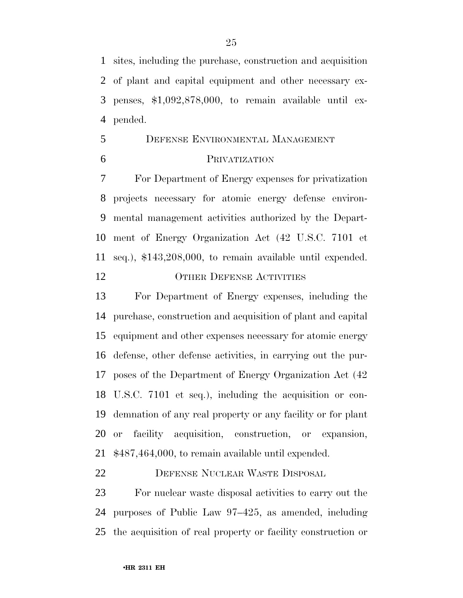sites, including the purchase, construction and acquisition of plant and capital equipment and other necessary ex- penses, \$1,092,878,000, to remain available until ex-pended.

## DEFENSE ENVIRONMENTAL MANAGEMENT

#### PRIVATIZATION

 For Department of Energy expenses for privatization projects necessary for atomic energy defense environ- mental management activities authorized by the Depart- ment of Energy Organization Act (42 U.S.C. 7101 et seq.), \$143,208,000, to remain available until expended. 12 OTHER DEFENSE ACTIVITIES

 For Department of Energy expenses, including the purchase, construction and acquisition of plant and capital equipment and other expenses necessary for atomic energy defense, other defense activities, in carrying out the pur- poses of the Department of Energy Organization Act (42 U.S.C. 7101 et seq.), including the acquisition or con- demnation of any real property or any facility or for plant or facility acquisition, construction, or expansion, \$487,464,000, to remain available until expended.

#### DEFENSE NUCLEAR WASTE DISPOSAL

 For nuclear waste disposal activities to carry out the purposes of Public Law 97–425, as amended, including the acquisition of real property or facility construction or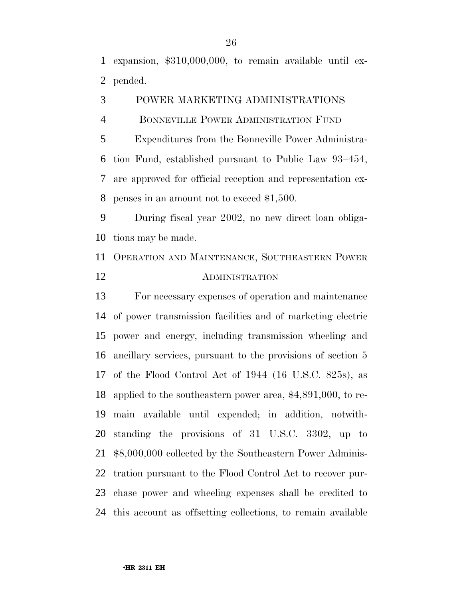expansion, \$310,000,000, to remain available until ex-pended.

POWER MARKETING ADMINISTRATIONS

BONNEVILLE POWER ADMINISTRATION FUND

 Expenditures from the Bonneville Power Administra- tion Fund, established pursuant to Public Law 93–454, are approved for official reception and representation ex-penses in an amount not to exceed \$1,500.

 During fiscal year 2002, no new direct loan obliga-tions may be made.

 OPERATION AND MAINTENANCE, SOUTHEASTERN POWER ADMINISTRATION

 For necessary expenses of operation and maintenance of power transmission facilities and of marketing electric power and energy, including transmission wheeling and ancillary services, pursuant to the provisions of section 5 of the Flood Control Act of 1944 (16 U.S.C. 825s), as applied to the southeastern power area, \$4,891,000, to re- main available until expended; in addition, notwith- standing the provisions of 31 U.S.C. 3302, up to \$8,000,000 collected by the Southeastern Power Adminis- tration pursuant to the Flood Control Act to recover pur- chase power and wheeling expenses shall be credited to this account as offsetting collections, to remain available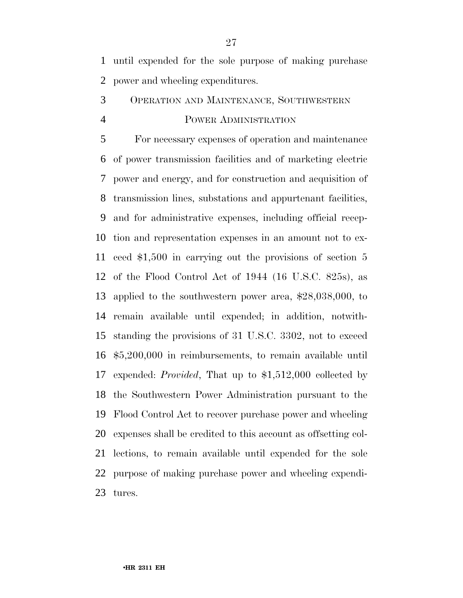until expended for the sole purpose of making purchase power and wheeling expenditures.

### OPERATION AND MAINTENANCE, SOUTHWESTERN POWER ADMINISTRATION

 For necessary expenses of operation and maintenance of power transmission facilities and of marketing electric power and energy, and for construction and acquisition of transmission lines, substations and appurtenant facilities, and for administrative expenses, including official recep- tion and representation expenses in an amount not to ex- ceed \$1,500 in carrying out the provisions of section 5 of the Flood Control Act of 1944 (16 U.S.C. 825s), as applied to the southwestern power area, \$28,038,000, to remain available until expended; in addition, notwith- standing the provisions of 31 U.S.C. 3302, not to exceed \$5,200,000 in reimbursements, to remain available until expended: *Provided*, That up to \$1,512,000 collected by the Southwestern Power Administration pursuant to the Flood Control Act to recover purchase power and wheeling expenses shall be credited to this account as offsetting col- lections, to remain available until expended for the sole purpose of making purchase power and wheeling expendi-tures.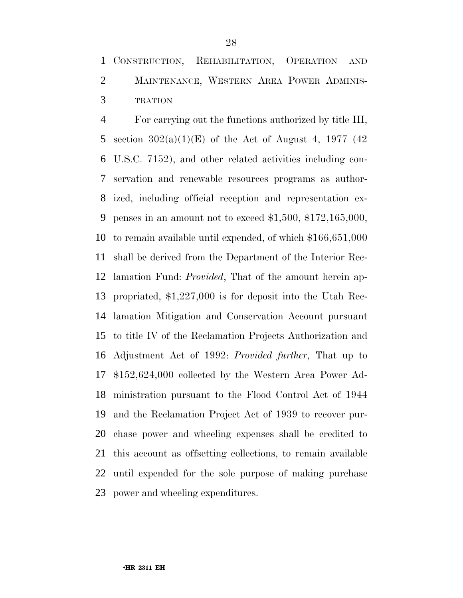CONSTRUCTION, REHABILITATION, OPERATION AND MAINTENANCE, WESTERN AREA POWER ADMINIS-TRATION

 For carrying out the functions authorized by title III, 5 section  $302(a)(1)(E)$  of the Act of August 4, 1977 (42) U.S.C. 7152), and other related activities including con- servation and renewable resources programs as author- ized, including official reception and representation ex- penses in an amount not to exceed \$1,500, \$172,165,000, to remain available until expended, of which \$166,651,000 shall be derived from the Department of the Interior Rec- lamation Fund: *Provided*, That of the amount herein ap- propriated, \$1,227,000 is for deposit into the Utah Rec- lamation Mitigation and Conservation Account pursuant to title IV of the Reclamation Projects Authorization and Adjustment Act of 1992: *Provided further*, That up to \$152,624,000 collected by the Western Area Power Ad- ministration pursuant to the Flood Control Act of 1944 and the Reclamation Project Act of 1939 to recover pur- chase power and wheeling expenses shall be credited to this account as offsetting collections, to remain available until expended for the sole purpose of making purchase power and wheeling expenditures.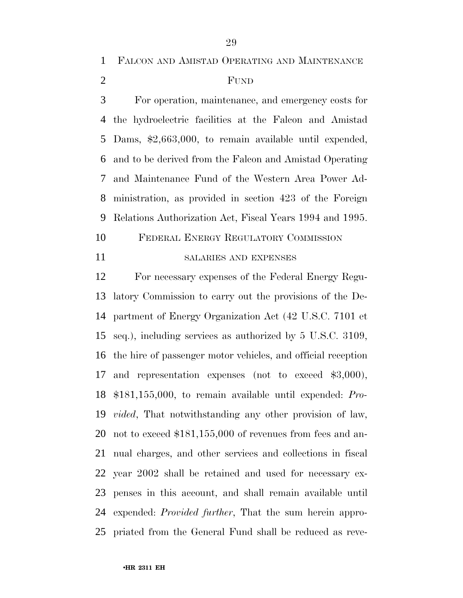FALCON AND AMISTAD OPERATING AND MAINTENANCE

#### FUND

 For operation, maintenance, and emergency costs for the hydroelectric facilities at the Falcon and Amistad Dams, \$2,663,000, to remain available until expended, and to be derived from the Falcon and Amistad Operating and Maintenance Fund of the Western Area Power Ad- ministration, as provided in section 423 of the Foreign Relations Authorization Act, Fiscal Years 1994 and 1995.

- FEDERAL ENERGY REGULATORY COMMISSION
- 

#### SALARIES AND EXPENSES

 For necessary expenses of the Federal Energy Regu- latory Commission to carry out the provisions of the De- partment of Energy Organization Act (42 U.S.C. 7101 et seq.), including services as authorized by 5 U.S.C. 3109, the hire of passenger motor vehicles, and official reception and representation expenses (not to exceed \$3,000), \$181,155,000, to remain available until expended: *Pro- vided*, That notwithstanding any other provision of law, not to exceed \$181,155,000 of revenues from fees and an- nual charges, and other services and collections in fiscal year 2002 shall be retained and used for necessary ex- penses in this account, and shall remain available until expended: *Provided further*, That the sum herein appro-priated from the General Fund shall be reduced as reve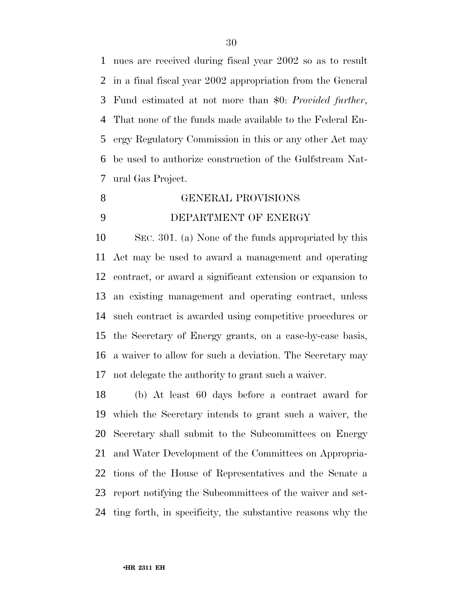nues are received during fiscal year 2002 so as to result in a final fiscal year 2002 appropriation from the General Fund estimated at not more than \$0: *Provided further*, That none of the funds made available to the Federal En- ergy Regulatory Commission in this or any other Act may be used to authorize construction of the Gulfstream Nat-ural Gas Project.

### GENERAL PROVISIONS

#### DEPARTMENT OF ENERGY

 SEC. 301. (a) None of the funds appropriated by this Act may be used to award a management and operating contract, or award a significant extension or expansion to an existing management and operating contract, unless such contract is awarded using competitive procedures or the Secretary of Energy grants, on a case-by-case basis, a waiver to allow for such a deviation. The Secretary may not delegate the authority to grant such a waiver.

 (b) At least 60 days before a contract award for which the Secretary intends to grant such a waiver, the Secretary shall submit to the Subcommittees on Energy and Water Development of the Committees on Appropria- tions of the House of Representatives and the Senate a report notifying the Subcommittees of the waiver and set-ting forth, in specificity, the substantive reasons why the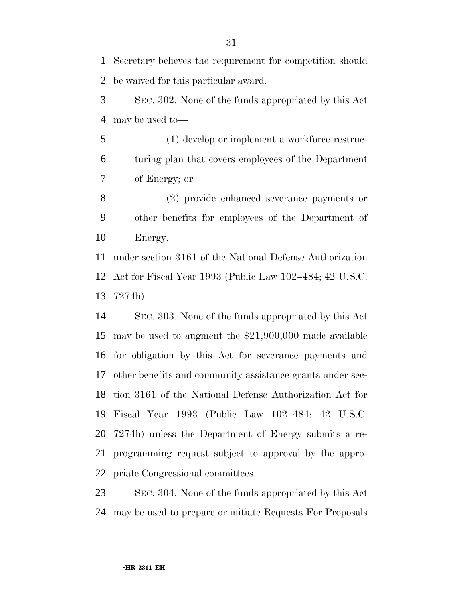Secretary believes the requirement for competition should be waived for this particular award.

 SEC. 302. None of the funds appropriated by this Act may be used to—

 (1) develop or implement a workforce restruc- turing plan that covers employees of the Department of Energy; or

 (2) provide enhanced severance payments or other benefits for employees of the Department of Energy,

 under section 3161 of the National Defense Authorization Act for Fiscal Year 1993 (Public Law 102–484; 42 U.S.C. 7274h).

 SEC. 303. None of the funds appropriated by this Act may be used to augment the \$21,900,000 made available for obligation by this Act for severance payments and other benefits and community assistance grants under sec- tion 3161 of the National Defense Authorization Act for Fiscal Year 1993 (Public Law 102–484; 42 U.S.C. 7274h) unless the Department of Energy submits a re- programming request subject to approval by the appro-priate Congressional committees.

 SEC. 304. None of the funds appropriated by this Act may be used to prepare or initiate Requests For Proposals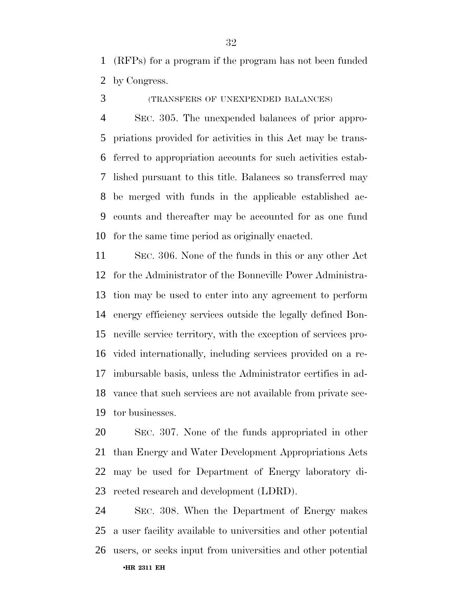(RFPs) for a program if the program has not been funded by Congress.

(TRANSFERS OF UNEXPENDED BALANCES)

 SEC. 305. The unexpended balances of prior appro- priations provided for activities in this Act may be trans- ferred to appropriation accounts for such activities estab- lished pursuant to this title. Balances so transferred may be merged with funds in the applicable established ac- counts and thereafter may be accounted for as one fund for the same time period as originally enacted.

 SEC. 306. None of the funds in this or any other Act for the Administrator of the Bonneville Power Administra- tion may be used to enter into any agreement to perform energy efficiency services outside the legally defined Bon- neville service territory, with the exception of services pro- vided internationally, including services provided on a re- imbursable basis, unless the Administrator certifies in ad- vance that such services are not available from private sec-tor businesses.

 SEC. 307. None of the funds appropriated in other than Energy and Water Development Appropriations Acts may be used for Department of Energy laboratory di-rected research and development (LDRD).

•**HR 2311 EH** SEC. 308. When the Department of Energy makes a user facility available to universities and other potential users, or seeks input from universities and other potential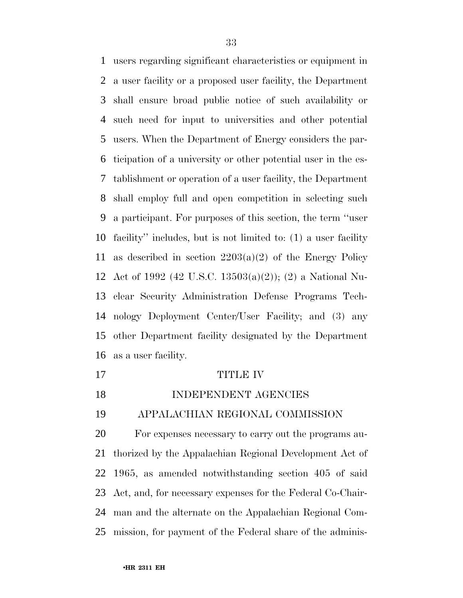users regarding significant characteristics or equipment in a user facility or a proposed user facility, the Department shall ensure broad public notice of such availability or such need for input to universities and other potential users. When the Department of Energy considers the par- ticipation of a university or other potential user in the es- tablishment or operation of a user facility, the Department shall employ full and open competition in selecting such a participant. For purposes of this section, the term ''user facility'' includes, but is not limited to: (1) a user facility 11 as described in section  $2203(a)(2)$  of the Energy Policy Act of 1992 (42 U.S.C. 13503(a)(2)); (2) a National Nu- clear Security Administration Defense Programs Tech- nology Deployment Center/User Facility; and (3) any other Department facility designated by the Department as a user facility.

#### 17 TITLE IV

#### 18 INDEPENDENT AGENCIES

APPALACHIAN REGIONAL COMMISSION

 For expenses necessary to carry out the programs au- thorized by the Appalachian Regional Development Act of 1965, as amended notwithstanding section 405 of said Act, and, for necessary expenses for the Federal Co-Chair- man and the alternate on the Appalachian Regional Com-mission, for payment of the Federal share of the adminis-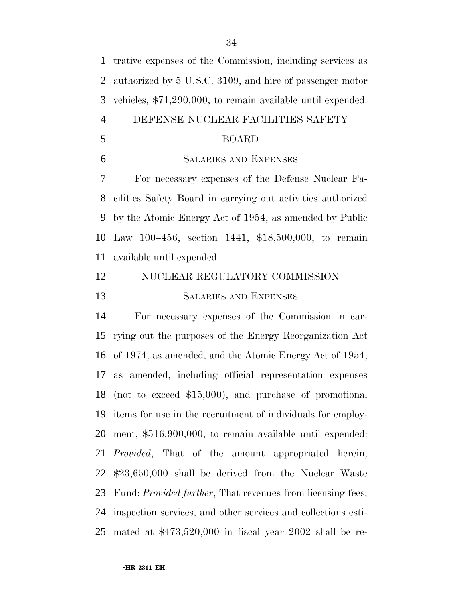trative expenses of the Commission, including services as authorized by 5 U.S.C. 3109, and hire of passenger motor vehicles, \$71,290,000, to remain available until expended. DEFENSE NUCLEAR FACILITIES SAFETY BOARD SALARIES AND EXPENSES For necessary expenses of the Defense Nuclear Fa- cilities Safety Board in carrying out activities authorized by the Atomic Energy Act of 1954, as amended by Public Law 100–456, section 1441, \$18,500,000, to remain available until expended. NUCLEAR REGULATORY COMMISSION SALARIES AND EXPENSES For necessary expenses of the Commission in car- rying out the purposes of the Energy Reorganization Act of 1974, as amended, and the Atomic Energy Act of 1954, as amended, including official representation expenses (not to exceed \$15,000), and purchase of promotional items for use in the recruitment of individuals for employ- ment, \$516,900,000, to remain available until expended: *Provided*, That of the amount appropriated herein, \$23,650,000 shall be derived from the Nuclear Waste Fund: *Provided further*, That revenues from licensing fees, inspection services, and other services and collections esti-mated at \$473,520,000 in fiscal year 2002 shall be re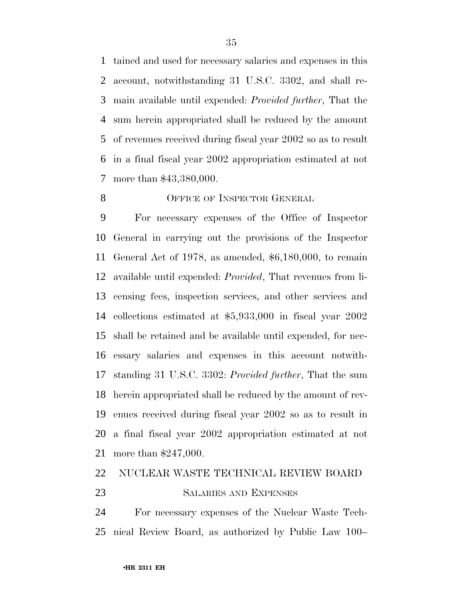tained and used for necessary salaries and expenses in this account, notwithstanding 31 U.S.C. 3302, and shall re- main available until expended: *Provided further*, That the sum herein appropriated shall be reduced by the amount of revenues received during fiscal year 2002 so as to result in a final fiscal year 2002 appropriation estimated at not more than \$43,380,000.

#### 8 OFFICE OF INSPECTOR GENERAL

 For necessary expenses of the Office of Inspector General in carrying out the provisions of the Inspector General Act of 1978, as amended, \$6,180,000, to remain available until expended: *Provided*, That revenues from li- censing fees, inspection services, and other services and collections estimated at \$5,933,000 in fiscal year 2002 shall be retained and be available until expended, for nec- essary salaries and expenses in this account notwith- standing 31 U.S.C. 3302: *Provided further*, That the sum herein appropriated shall be reduced by the amount of rev- enues received during fiscal year 2002 so as to result in a final fiscal year 2002 appropriation estimated at not more than \$247,000.

#### NUCLEAR WASTE TECHNICAL REVIEW BOARD

#### SALARIES AND EXPENSES

 For necessary expenses of the Nuclear Waste Tech-nical Review Board, as authorized by Public Law 100–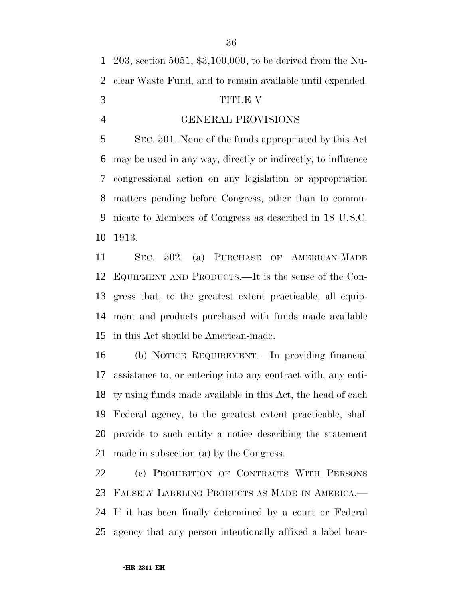203, section 5051, \$3,100,000, to be derived from the Nu- clear Waste Fund, and to remain available until expended. TITLE V GENERAL PROVISIONS

 SEC. 501. None of the funds appropriated by this Act may be used in any way, directly or indirectly, to influence congressional action on any legislation or appropriation matters pending before Congress, other than to commu- nicate to Members of Congress as described in 18 U.S.C. 1913.

 SEC. 502. (a) PURCHASE OF AMERICAN-MADE EQUIPMENT AND PRODUCTS.—It is the sense of the Con- gress that, to the greatest extent practicable, all equip- ment and products purchased with funds made available in this Act should be American-made.

 (b) NOTICE REQUIREMENT.—In providing financial assistance to, or entering into any contract with, any enti- ty using funds made available in this Act, the head of each Federal agency, to the greatest extent practicable, shall provide to such entity a notice describing the statement made in subsection (a) by the Congress.

 (c) PROHIBITION OF CONTRACTS WITH PERSONS FALSELY LABELING PRODUCTS AS MADE IN AMERICA.— If it has been finally determined by a court or Federal agency that any person intentionally affixed a label bear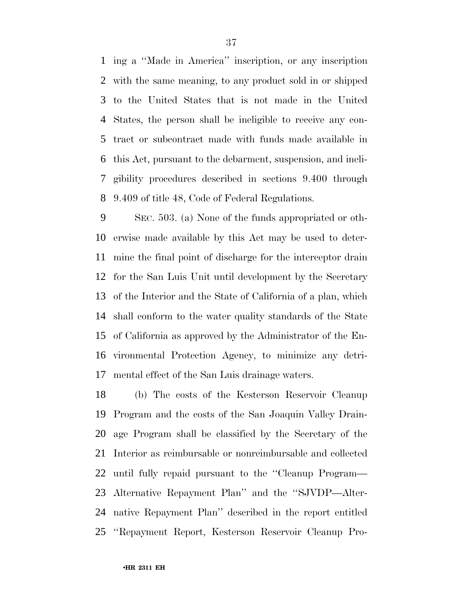ing a ''Made in America'' inscription, or any inscription with the same meaning, to any product sold in or shipped to the United States that is not made in the United States, the person shall be ineligible to receive any con- tract or subcontract made with funds made available in this Act, pursuant to the debarment, suspension, and ineli- gibility procedures described in sections 9.400 through 9.409 of title 48, Code of Federal Regulations.

 SEC. 503. (a) None of the funds appropriated or oth- erwise made available by this Act may be used to deter- mine the final point of discharge for the interceptor drain for the San Luis Unit until development by the Secretary of the Interior and the State of California of a plan, which shall conform to the water quality standards of the State of California as approved by the Administrator of the En- vironmental Protection Agency, to minimize any detri-mental effect of the San Luis drainage waters.

 (b) The costs of the Kesterson Reservoir Cleanup Program and the costs of the San Joaquin Valley Drain- age Program shall be classified by the Secretary of the Interior as reimbursable or nonreimbursable and collected until fully repaid pursuant to the ''Cleanup Program— Alternative Repayment Plan'' and the ''SJVDP—Alter- native Repayment Plan'' described in the report entitled ''Repayment Report, Kesterson Reservoir Cleanup Pro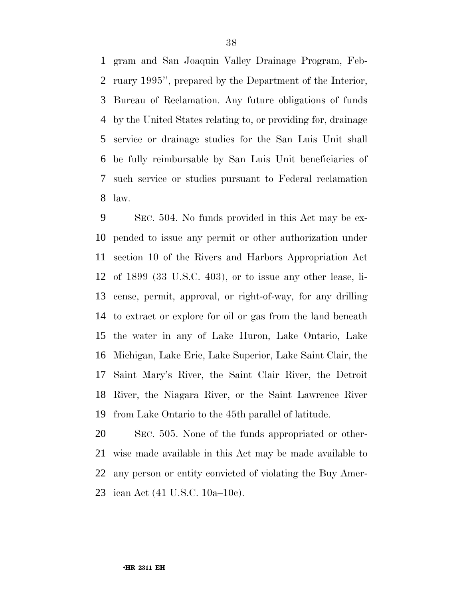gram and San Joaquin Valley Drainage Program, Feb- ruary 1995'', prepared by the Department of the Interior, Bureau of Reclamation. Any future obligations of funds by the United States relating to, or providing for, drainage service or drainage studies for the San Luis Unit shall be fully reimbursable by San Luis Unit beneficiaries of such service or studies pursuant to Federal reclamation law.

 SEC. 504. No funds provided in this Act may be ex- pended to issue any permit or other authorization under section 10 of the Rivers and Harbors Appropriation Act of 1899 (33 U.S.C. 403), or to issue any other lease, li- cense, permit, approval, or right-of-way, for any drilling to extract or explore for oil or gas from the land beneath the water in any of Lake Huron, Lake Ontario, Lake Michigan, Lake Erie, Lake Superior, Lake Saint Clair, the Saint Mary's River, the Saint Clair River, the Detroit River, the Niagara River, or the Saint Lawrence River from Lake Ontario to the 45th parallel of latitude.

 SEC. 505. None of the funds appropriated or other- wise made available in this Act may be made available to any person or entity convicted of violating the Buy Amer-ican Act (41 U.S.C. 10a–10c).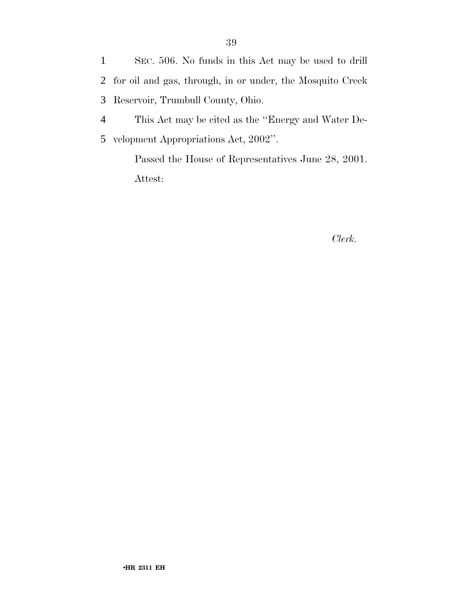1 SEC. 506. No funds in this Act may be used to drill 2 for oil and gas, through, in or under, the Mosquito Creek 3 Reservoir, Trumbull County, Ohio.

4 This Act may be cited as the ''Energy and Water De-5 velopment Appropriations Act, 2002''.

> Passed the House of Representatives June 28, 2001. Attest:

#### *Clerk.*